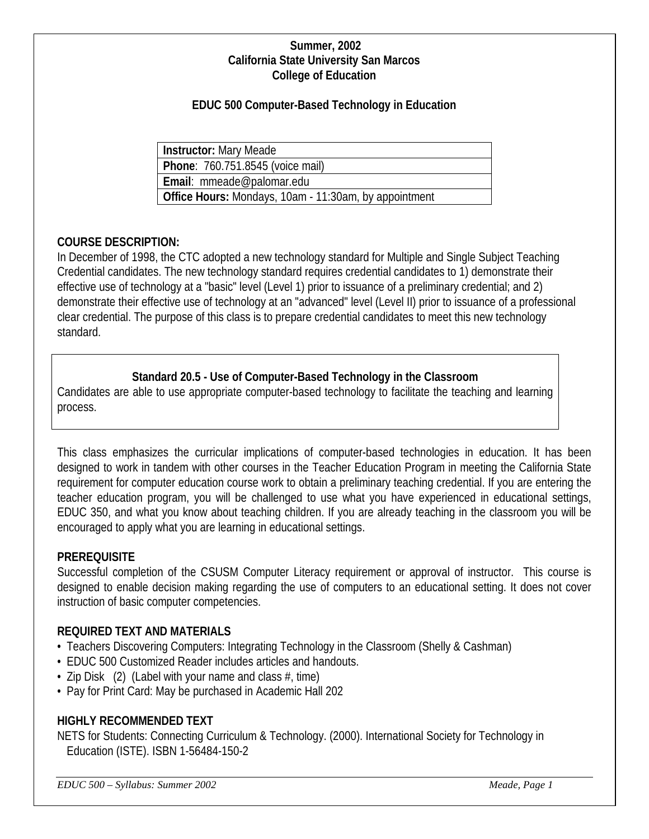#### **Summer, 2002 California State University San Marcos College of Education**

### **EDUC 500 Computer-Based Technology in Education**

**Instructor:** Mary Meade **Phone**: 760.751.8545 (voice mail) **Email**: mmeade@palomar.edu **Office Hours:** Mondays, 10am - 11:30am, by appointment

#### **COURSE DESCRIPTION:**

In December of 1998, the CTC adopted a new technology standard for Multiple and Single Subject Teaching Credential candidates. The new technology standard requires credential candidates to 1) demonstrate their effective use of technology at a "basic" level (Level 1) prior to issuance of a preliminary credential; and 2) demonstrate their effective use of technology at an "advanced" level (Level II) prior to issuance of a professional clear credential. The purpose of this class is to prepare credential candidates to meet this new technology standard.

#### **Standard 20.5 - Use of Computer-Based Technology in the Classroom**

Candidates are able to use appropriate computer-based technology to facilitate the teaching and learning process.

This class emphasizes the curricular implications of computer-based technologies in education. It has been designed to work in tandem with other courses in the Teacher Education Program in meeting the California State requirement for computer education course work to obtain a preliminary teaching credential. If you are entering the teacher education program, you will be challenged to use what you have experienced in educational settings, EDUC 350, and what you know about teaching children. If you are already teaching in the classroom you will be encouraged to apply what you are learning in educational settings.

#### **PREREQUISITE**

Successful completion of the CSUSM Computer Literacy requirement or approval of instructor. This course is designed to enable decision making regarding the use of computers to an educational setting. It does not cover instruction of basic computer competencies.

#### **REQUIRED TEXT AND MATERIALS**

- Teachers Discovering Computers: Integrating Technology in the Classroom (Shelly & Cashman)
- EDUC 500 Customized Reader includes articles and handouts.
- Zip Disk  $(2)$  (Label with your name and class  $#$ , time)
- Pay for Print Card: May be purchased in Academic Hall 202

#### **HIGHLY RECOMMENDED TEXT**

NETS for Students: Connecting Curriculum & Technology. (2000). International Society for Technology in Education (ISTE). ISBN 1-56484-150-2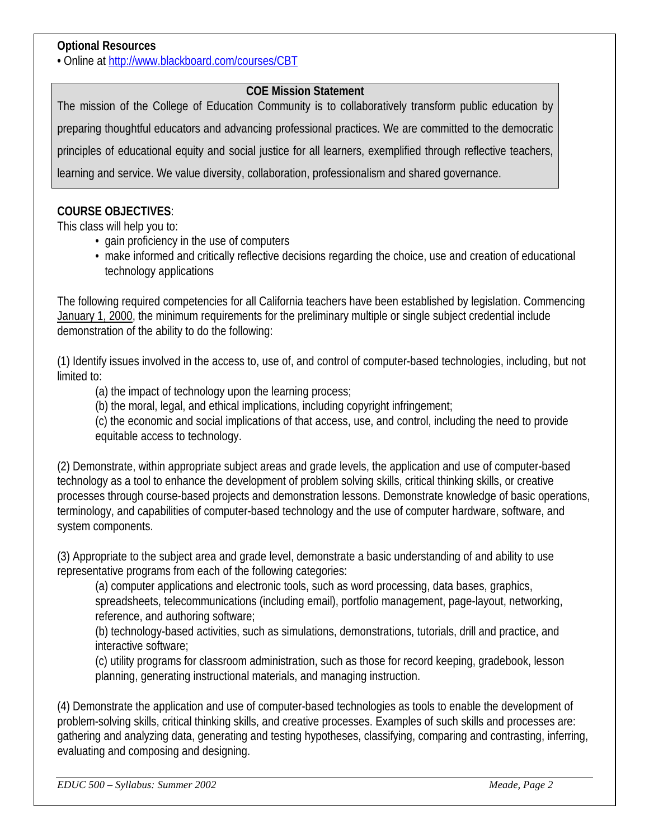### **Optional Resources**

**•** Online at<http://www.blackboard.com/courses/CBT>

#### **COE Mission Statement**

The mission of the College of Education Community is to collaboratively transform public education by preparing thoughtful educators and advancing professional practices. We are committed to the democratic principles of educational equity and social justice for all learners, exemplified through reflective teachers, learning and service. We value diversity, collaboration, professionalism and shared governance.

#### **COURSE OBJECTIVES**:

This class will help you to:

- gain proficiency in the use of computers
- make informed and critically reflective decisions regarding the choice, use and creation of educational technology applications

The following required competencies for all California teachers have been established by legislation. Commencing January 1, 2000, the minimum requirements for the preliminary multiple or single subject credential include demonstration of the ability to do the following:

(1) Identify issues involved in the access to, use of, and control of computer-based technologies, including, but not limited to:

(a) the impact of technology upon the learning process;

(b) the moral, legal, and ethical implications, including copyright infringement;

(c) the economic and social implications of that access, use, and control, including the need to provide equitable access to technology.

(2) Demonstrate, within appropriate subject areas and grade levels, the application and use of computer-based technology as a tool to enhance the development of problem solving skills, critical thinking skills, or creative processes through course-based projects and demonstration lessons. Demonstrate knowledge of basic operations, terminology, and capabilities of computer-based technology and the use of computer hardware, software, and system components.

(3) Appropriate to the subject area and grade level, demonstrate a basic understanding of and ability to use representative programs from each of the following categories:

(a) computer applications and electronic tools, such as word processing, data bases, graphics, spreadsheets, telecommunications (including email), portfolio management, page-layout, networking, reference, and authoring software;

(b) technology-based activities, such as simulations, demonstrations, tutorials, drill and practice, and interactive software;

(c) utility programs for classroom administration, such as those for record keeping, gradebook, lesson planning, generating instructional materials, and managing instruction.

(4) Demonstrate the application and use of computer-based technologies as tools to enable the development of problem-solving skills, critical thinking skills, and creative processes. Examples of such skills and processes are: gathering and analyzing data, generating and testing hypotheses, classifying, comparing and contrasting, inferring, evaluating and composing and designing.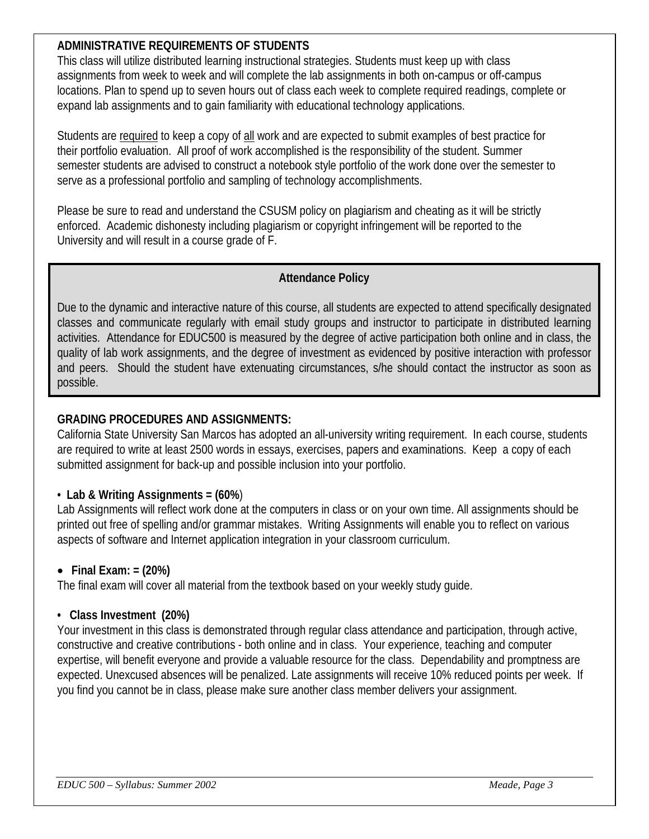## **ADMINISTRATIVE REQUIREMENTS OF STUDENTS**

This class will utilize distributed learning instructional strategies. Students must keep up with class assignments from week to week and will complete the lab assignments in both on-campus or off-campus locations. Plan to spend up to seven hours out of class each week to complete required readings, complete or expand lab assignments and to gain familiarity with educational technology applications.

Students are required to keep a copy of all work and are expected to submit examples of best practice for their portfolio evaluation. All proof of work accomplished is the responsibility of the student. Summer semester students are advised to construct a notebook style portfolio of the work done over the semester to serve as a professional portfolio and sampling of technology accomplishments.

Please be sure to read and understand the CSUSM policy on plagiarism and cheating as it will be strictly enforced. Academic dishonesty including plagiarism or copyright infringement will be reported to the University and will result in a course grade of F.

### **Attendance Policy**

Due to the dynamic and interactive nature of this course, all students are expected to attend specifically designated classes and communicate regularly with email study groups and instructor to participate in distributed learning activities. Attendance for EDUC500 is measured by the degree of active participation both online and in class, the quality of lab work assignments, and the degree of investment as evidenced by positive interaction with professor and peers. Should the student have extenuating circumstances, s/he should contact the instructor as soon as possible.

## **GRADING PROCEDURES AND ASSIGNMENTS:**

California State University San Marcos has adopted an all-university writing requirement. In each course, students are required to write at least 2500 words in essays, exercises, papers and examinations. Keep a copy of each submitted assignment for back-up and possible inclusion into your portfolio.

#### • **Lab & Writing Assignments = (60%**)

Lab Assignments will reflect work done at the computers in class or on your own time. All assignments should be printed out free of spelling and/or grammar mistakes. Writing Assignments will enable you to reflect on various aspects of software and Internet application integration in your classroom curriculum.

#### • **Final Exam: = (20%)**

The final exam will cover all material from the textbook based on your weekly study guide.

#### **• Class Investment (20%)**

Your investment in this class is demonstrated through regular class attendance and participation, through active, constructive and creative contributions - both online and in class. Your experience, teaching and computer expertise, will benefit everyone and provide a valuable resource for the class. Dependability and promptness are expected. Unexcused absences will be penalized. Late assignments will receive 10% reduced points per week. If you find you cannot be in class, please make sure another class member delivers your assignment.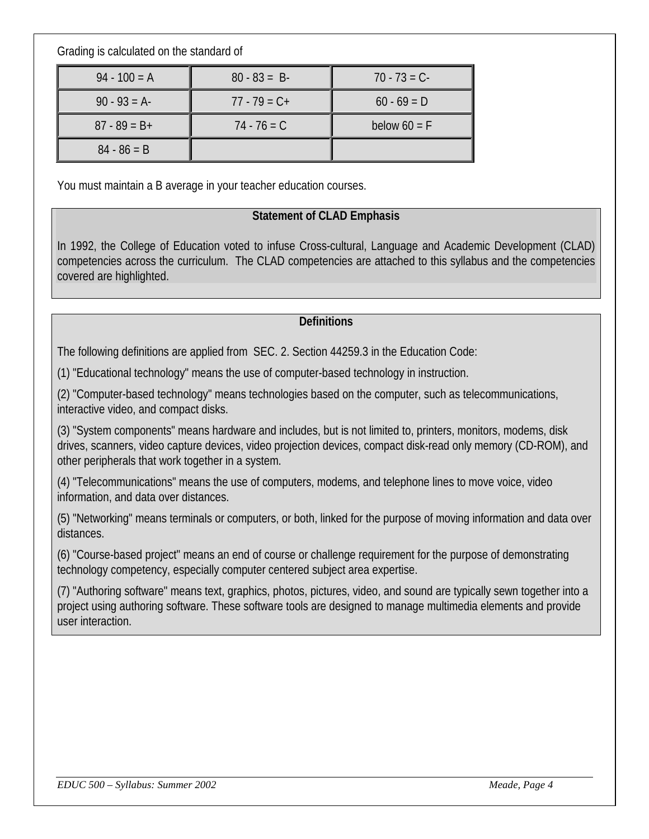Grading is calculated on the standard of

| $94 - 100 = A$  | $80 - 83 = B$   | $70 - 73 = C$  |  |
|-----------------|-----------------|----------------|--|
| $90 - 93 = A$   | $77 - 79 = C +$ | $60 - 69 = D$  |  |
| $87 - 89 = B +$ | $74 - 76 = C$   | below $60 = F$ |  |
| $84 - 86 = B$   |                 |                |  |

You must maintain a B average in your teacher education courses.

### **Statement of CLAD Emphasis**

In 1992, the College of Education voted to infuse Cross-cultural, Language and Academic Development (CLAD) competencies across the curriculum. The CLAD competencies are attached to this syllabus and the competencies covered are highlighted.

#### **Definitions**

The following definitions are applied from SEC. 2. Section 44259.3 in the Education Code:

(1) "Educational technology" means the use of computer-based technology in instruction.

(2) "Computer-based technology" means technologies based on the computer, such as telecommunications, interactive video, and compact disks.

(3) "System components" means hardware and includes, but is not limited to, printers, monitors, modems, disk drives, scanners, video capture devices, video projection devices, compact disk-read only memory (CD-ROM), and other peripherals that work together in a system.

(4) "Telecommunications" means the use of computers, modems, and telephone lines to move voice, video information, and data over distances.

(5) "Networking" means terminals or computers, or both, linked for the purpose of moving information and data over distances.

(6) "Course-based project" means an end of course or challenge requirement for the purpose of demonstrating technology competency, especially computer centered subject area expertise.

(7) "Authoring software" means text, graphics, photos, pictures, video, and sound are typically sewn together into a project using authoring software. These software tools are designed to manage multimedia elements and provide user interaction.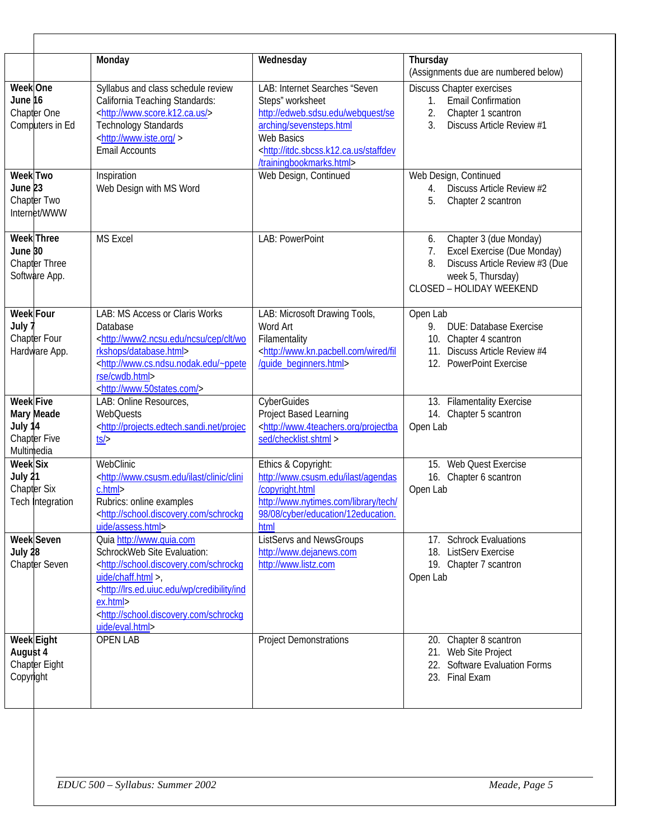|                                                  |                                                     | Monday                                                                                                                                                                                                                                                                                               | Wednesday                                                                                                                                                                                                            | Thursday<br>(Assignments due are numbered below)                                                                                                           |  |  |
|--------------------------------------------------|-----------------------------------------------------|------------------------------------------------------------------------------------------------------------------------------------------------------------------------------------------------------------------------------------------------------------------------------------------------------|----------------------------------------------------------------------------------------------------------------------------------------------------------------------------------------------------------------------|------------------------------------------------------------------------------------------------------------------------------------------------------------|--|--|
| Week One<br>June 16                              | Chapter One<br>Computers in Ed                      | Syllabus and class schedule review<br>California Teaching Standards:<br><http: www.score.k12.ca.us=""></http:><br><b>Technology Standards</b><br><http: www.iste.org=""><br/><b>Email Accounts</b></http:>                                                                                           | LAB: Internet Searches "Seven<br>Steps" worksheet<br>http://edweb.sdsu.edu/webquest/se<br>arching/sevensteps.html<br>Web Basics<br><http: itdc.sbcss.k12.ca.us="" staffdev<br="">/trainingbookmarks.html&gt;</http:> | Discuss Chapter exercises<br><b>Email Confirmation</b><br>1.<br>2.<br>Chapter 1 scantron<br>$\overline{3}$ .<br>Discuss Article Review #1                  |  |  |
| Week Two<br>June <sub>23</sub>                   | Chapter Two<br>Internet/WWW                         | Inspiration<br>Web Design with MS Word                                                                                                                                                                                                                                                               | Web Design, Continued                                                                                                                                                                                                | Web Design, Continued<br>Discuss Article Review #2<br>4.<br>5.<br>Chapter 2 scantron                                                                       |  |  |
| June 30                                          | <b>Week</b> Three<br>Chapter Three<br>Software App. | <b>MS Excel</b>                                                                                                                                                                                                                                                                                      | LAB: PowerPoint                                                                                                                                                                                                      | Chapter 3 (due Monday)<br>6.<br>Excel Exercise (Due Monday)<br>7.<br>Discuss Article Review #3 (Due<br>8.<br>week 5, Thursday)<br>CLOSED - HOLIDAY WEEKEND |  |  |
| <b>Week Four</b><br>July 1                       | Chapter Four<br>Hardware App.                       | LAB: MS Access or Claris Works<br>Database<br><http: cep="" clt="" ncsu="" wo<br="" www2.ncsu.edu="">rkshops/database.html&gt;<br/><http: www.cs.ndsu.nodak.edu="" ~ppete<br="">rse/cwdb.html&gt;<br/><http: www.50states.com=""></http:></http:></http:>                                            | LAB: Microsoft Drawing Tools,<br>Word Art<br>Filamentality<br><http: fil<br="" wired="" www.kn.pacbell.com="">/guide_beginners.html&gt;</http:>                                                                      | Open Lab<br>9.<br><b>DUE: Database Exercise</b><br>10. Chapter 4 scantron<br>Discuss Article Review #4<br>11.<br>12. PowerPoint Exercise                   |  |  |
| <b>Week Five</b><br>July 14<br>Multimedia        | Mary Meade<br><b>Chapter Five</b>                   | LAB: Online Resources,<br><b>WebQuests</b><br><http: projec<br="" projects.edtech.sandi.net=""><math>ts</math></http:>                                                                                                                                                                               | CyberGuides<br>Project Based Learning<br><http: projectba<br="" www.4teachers.org="">sed/checklist.shtml &gt;</http:>                                                                                                | 13. Filamentality Exercise<br>14. Chapter 5 scantron<br>Open Lab                                                                                           |  |  |
| <b>Week Six</b><br>July 21<br><b>Chapter Six</b> | Tech Integration                                    | WebClinic<br><http: clini<br="" clinic="" ilast="" www.csusm.edu="">c.html&gt;<br/>Rubrics: online examples<br/><http: school.discovery.com="" schrockg<br="">uide/assess.html&gt;</http:></http:>                                                                                                   | Ethics & Copyright:<br>http://www.csusm.edu/ilast/agendas<br>/copyright.html<br>http://www.nytimes.com/library/tech/<br>98/08/cyber/education/12education.<br>html                                                   | 15. Web Quest Exercise<br>16. Chapter 6 scantron<br>Open Lab                                                                                               |  |  |
| July 28                                          | <b>Week Seven</b><br>Chapter Seven                  | Quia http://www.quia.com<br>SchrockWeb Site Evaluation:<br><http: school.discovery.com="" schrockg<br="">uide/chaff.html &gt;,<br/><http: credibility="" ind<br="" lrs.ed.uiuc.edu="" wp="">ex.html&gt;<br/><http: school.discovery.com="" schrockg<br="">uide/eval.html&gt;</http:></http:></http:> | <b>ListServs and NewsGroups</b><br>http://www.dejanews.com<br>http://www.listz.com                                                                                                                                   | 17. Schrock Evaluations<br>18. ListServ Exercise<br>19. Chapter 7 scantron<br>Open Lab                                                                     |  |  |
| Week Eight<br>August 4<br>Copyright              | Chapter Eight                                       | <b>OPEN LAB</b>                                                                                                                                                                                                                                                                                      | <b>Project Demonstrations</b>                                                                                                                                                                                        | 20. Chapter 8 scantron<br>21. Web Site Project<br>22. Software Evaluation Forms<br>23. Final Exam                                                          |  |  |
|                                                  |                                                     |                                                                                                                                                                                                                                                                                                      |                                                                                                                                                                                                                      |                                                                                                                                                            |  |  |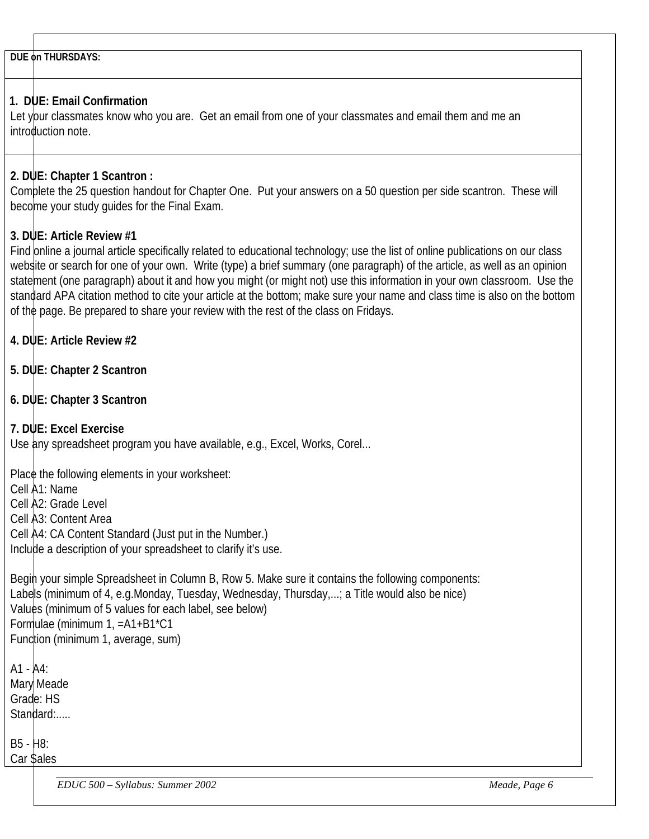**DUE on THURSDAYS:**

### **1. DUE: Email Confirmation**

Let your classmates know who you are. Get an email from one of your classmates and email them and me an introduction note.

## **2. DUE: Chapter 1 Scantron :**

Complete the 25 question handout for Chapter One. Put your answers on a 50 question per side scantron. These will become your study guides for the Final Exam.

## **3. DUE: Article Review #1**

Find online a journal article specifically related to educational technology; use the list of online publications on our class webstite or search for one of your own. Write (type) a brief summary (one paragraph) of the article, as well as an opinion statement (one paragraph) about it and how you might (or might not) use this information in your own classroom. Use the standard APA citation method to cite your article at the bottom; make sure your name and class time is also on the bottom of the page. Be prepared to share your review with the rest of the class on Fridays.

- **4. DUE: Article Review #2**
- **5. DUE: Chapter 2 Scantron**
- **6. DUE: Chapter 3 Scantron**
- **7. DUE: Excel Exercise**

Use any spreadsheet program you have available, e.g., Excel, Works, Corel...

Place the following elements in your worksheet:

Cell A1: Name

Cell A2: Grade Level

Cell A3: Content Area

Cell A4: CA Content Standard (Just put in the Number.)

Include a description of your spreadsheet to clarify it's use.

Begin your simple Spreadsheet in Column B, Row 5. Make sure it contains the following components: Labels (minimum of 4, e.g.Monday, Tuesday, Wednesday, Thursday,...; a Title would also be nice) Values (minimum of 5 values for each label, see below) Formulae (minimum 1, =A1+B1\*C1 Function (minimum 1, average, sum)

 $A1 - A4$ : Mary Meade Grade: HS Standard:.....

B5 - H8: Car Sales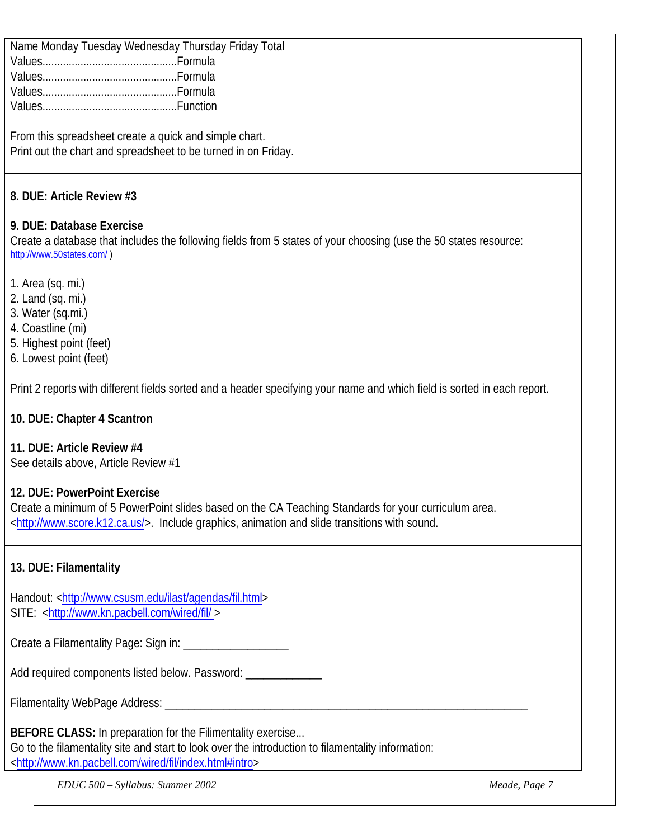Name Monday Tuesday Wednesday Thursday Friday Total Values..............................................Formula Values..............................................Formula Values..............................................Formula Values..............................................Function

From this spreadsheet create a quick and simple chart. Print out the chart and spreadsheet to be turned in on Friday.

## **8. DUE: Article Review #3**

## **9. DUE: Database Exercise**

Create a database that includes the following fields from 5 states of your choosing (use the 50 states resource: <http://www.50states.com/>)

- 1. Area (sq. mi.)
- 2. Land (sq. mi.)
- 3. Water (sq.mi.)
- 4. Coastline (mi)
- 5. Highest point (feet)
- 6. Lowest point (feet)

Print 2 reports with different fields sorted and a header specifying your name and which field is sorted in each report.

## **10. DUE: Chapter 4 Scantron**

## **11. DUE: Article Review #4**

See details above, Article Review #1

## **12. DUE: PowerPoint Exercise**

Create a minimum of 5 PowerPoint slides based on the CA Teaching Standards for your curriculum area. [<http://www.score.k12.ca.us/>](http://www.score.k12.ca.us/). Include graphics, animation and slide transitions with sound.

## **13. DUE: Filamentality**

Handout: [<http://www.csusm.edu/ilast/agendas/fil.html>](http://www.csusm.edu/ilast/agendas/fil.html) SITE: [<http://www.kn.pacbell.com/wired/fil/ >](http://www.kn.pacbell.com/wired/fil/%3e)

Create a Filamentality Page: Sign in: \_\_\_\_\_\_\_\_\_\_\_\_\_\_\_\_\_\_

Add required components listed below. Password:

Filamentality WebPage Address: \_\_\_\_\_\_\_\_\_\_\_\_\_\_\_\_\_\_\_\_\_\_\_\_\_\_\_\_\_\_\_\_\_\_\_\_\_\_\_\_\_\_\_\_\_\_\_\_\_\_\_\_\_\_\_\_\_\_\_\_\_\_

**BEFORE CLASS:** In preparation for the Filimentality exercise... Go to the filamentality site and start to look over the introduction to filamentality information: [<http://www.kn.pacbell.com/wired/fil/index.html#intro>](http://www.kn.pacbell.com/wired/fil/index.html#intro)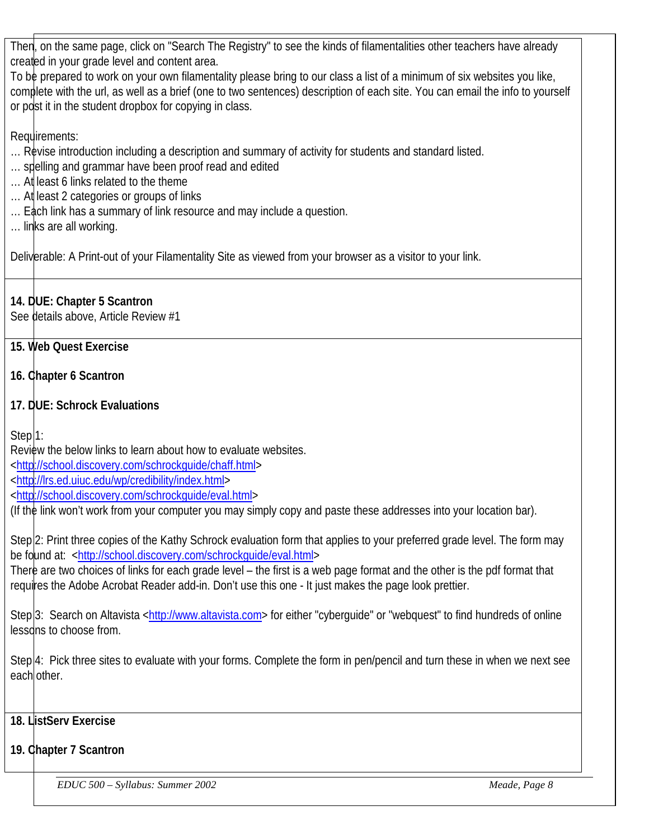Then, on the same page, click on "Search The Registry" to see the kinds of filamentalities other teachers have already created in your grade level and content area.

To be prepared to work on your own filamentality please bring to our class a list of a minimum of six websites you like, complete with the url, as well as a brief (one to two sentences) description of each site. You can email the info to yourself or post it in the student dropbox for copying in class.

Requirements:

- … Revise introduction including a description and summary of activity for students and standard listed.
- ... spelling and grammar have been proof read and edited
- … At least 6 links related to the theme
- ... At least 2 categories or groups of links
- ... Each link has a summary of link resource and may include a question.
- … links are all working.

Deliverable: A Print-out of your Filamentality Site as viewed from your browser as a visitor to your link.

## **14. DUE: Chapter 5 Scantron**

See details above, Article Review #1

# **15. Web Quest Exercise**

# **16. Chapter 6 Scantron**

# **17. DUE: Schrock Evaluations**

Step<sup>1:</sup>

Review the below links to learn about how to evaluate websites.

[<http://school.discovery.com/schrockguide/chaff.html>](http://school.discovery.com/schrockguide/chaff.html)

[<http://lrs.ed.uiuc.edu/wp/credibility/index.html>](http://lrs.ed.uiuc.edu/wp/credibility/index.html)

[<http://school.discovery.com/schrockguide/eval.html>](http://school.discovery.com/schrockguide/eval.html)

(If the link won't work from your computer you may simply copy and paste these addresses into your location bar).

Step 2: Print three copies of the Kathy Schrock evaluation form that applies to your preferred grade level. The form may be found at: [<http://school.discovery.com/schrockguide/eval.html>](http://school.discovery.com/schrockguide/eval.html)

There are two choices of links for each grade level – the first is a web page format and the other is the pdf format that requires the Adobe Acrobat Reader add-in. Don't use this one - It just makes the page look prettier.

Step 3: Search on Altavista [<http://www.altavista.com>](http://www.altavista.com/) for either "cyberguide" or "webquest" to find hundreds of online lessons to choose from.

Step 4: Pick three sites to evaluate with your forms. Complete the form in pen/pencil and turn these in when we next see each other.

## **18. ListServ Exercise**

## **19. Chapter 7 Scantron**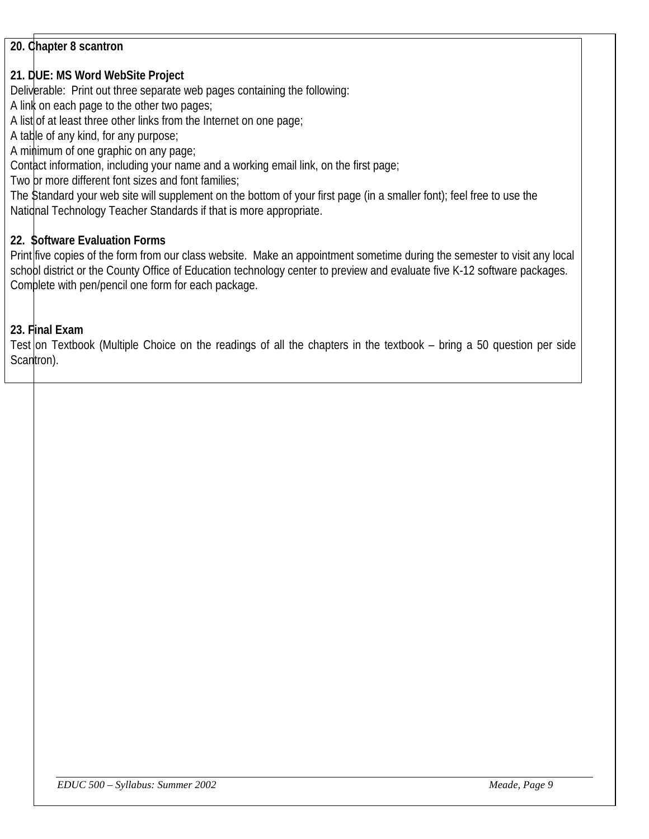## **20. Chapter 8 scantron**

## **21. DUE: MS Word WebSite Project**

Deliverable: Print out three separate web pages containing the following:

A link on each page to the other two pages;

A list of at least three other links from the Internet on one page;

A table of any kind, for any purpose;

A minimum of one graphic on any page;

Contact information, including your name and a working email link, on the first page;

Two or more different font sizes and font families;

The Standard your web site will supplement on the bottom of your first page (in a smaller font); feel free to use the Natidnal Technology Teacher Standards if that is more appropriate.

### **22. Software Evaluation Forms**

Print five copies of the form from our class website. Make an appointment sometime during the semester to visit any local schobl district or the County Office of Education technology center to preview and evaluate five K-12 software packages. Complete with pen/pencil one form for each package.

### **23. Final Exam**

Test on Textbook (Multiple Choice on the readings of all the chapters in the textbook – bring a 50 question per side Scantron).